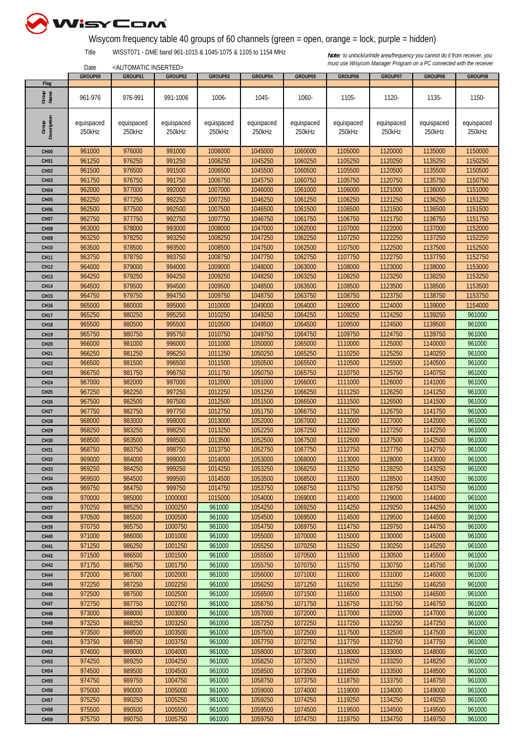

## Wisycom frequency table 40 groups of 60 channels (green = open, orange = lock, purple = hidden)

Title WISST071 - DME band 961-1015 & 1045-1075 & 1105 to 1154 MHz

<AUTOMATIC INSERTED>

|                  | GROUP00    | GROUP01    | GROUP02    | GROUP03    | GROUP04    | GROUP05    | GROUP06    | GROUP07    | GROUP08    | GROUP09    |
|------------------|------------|------------|------------|------------|------------|------------|------------|------------|------------|------------|
| Flag             |            |            |            |            |            |            |            |            |            |            |
| Group<br>Name    | 961-976    | 976-991    | 991-1006   | 1006-      | 1045-      | 1060-      | 1105-      | 1120-      | 1135-      | 1150-      |
|                  |            |            |            |            |            |            |            |            |            |            |
|                  |            |            |            |            |            |            |            |            |            |            |
| Description      | equispaced | equispaced | equispaced | equispaced | equispaced | equispaced | equispaced | equispaced | equispaced | equispaced |
| Group            | 250kHz     | 250kHz     | 250kHz     | 250kHz     | 250kHz     | 250kHz     | 250kHz     | 250kHz     | 250kHz     | 250kHz     |
|                  |            |            |            |            |            |            |            |            |            |            |
| CH <sub>00</sub> | 961000     | 976000     | 991000     | 1006000    | 1045000    | 1060000    | 1105000    | 1120000    | 1135000    | 1150000    |
| <b>CH01</b>      | 961250     | 976250     | 991250     | 1006250    | 1045250    | 1060250    | 1105250    | 1120250    | 1135250    | 1150250    |
| <b>CH02</b>      | 961500     | 976500     | 991500     | 1006500    | 1045500    | 1060500    | 1105500    | 1120500    | 1135500    | 1150500    |
| CH <sub>03</sub> | 961750     | 976750     | 991750     | 1006750    | 1045750    | 1060750    | 1105750    | 1120750    | 1135750    | 1150750    |
| <b>CH04</b>      | 962000     | 977000     | 992000     | 1007000    | 1046000    | 1061000    | 1106000    | 1121000    | 1136000    | 1151000    |
|                  | 962250     | 977250     | 992250     | 1007250    | 1046250    | 1061250    | 1106250    | 1121250    | 1136250    | 1151250    |
| <b>CH05</b>      |            |            |            |            |            |            |            |            |            |            |
| <b>CH06</b>      | 962500     | 977500     | 992500     | 1007500    | 1046500    | 1061500    | 1106500    | 1121500    | 1136500    | 1151500    |
| <b>CH07</b>      | 962750     | 977750     | 992750     | 1007750    | 1046750    | 1061750    | 1106750    | 1121750    | 1136750    | 1151750    |
| CH <sub>08</sub> | 963000     | 978000     | 993000     | 1008000    | 1047000    | 1062000    | 1107000    | 1122000    | 1137000    | 1152000    |
| <b>CH09</b>      | 963250     | 978250     | 993250     | 1008250    | 1047250    | 1062250    | 1107250    | 1122250    | 1137250    | 1152250    |
| <b>CH10</b>      | 963500     | 978500     | 993500     | 1008500    | 1047500    | 1062500    | 1107500    | 1122500    | 1137500    | 1152500    |
| <b>CH11</b>      | 963750     | 978750     | 993750     | 1008750    | 1047750    | 1062750    | 1107750    | 1122750    | 1137750    | 1152750    |
| <b>CH12</b>      | 964000     | 979000     | 994000     | 1009000    | 1048000    | 1063000    | 1108000    | 1123000    | 1138000    | 1153000    |
| <b>CH13</b>      | 964250     | 979250     | 994250     | 1009250    | 1048250    | 1063250    | 1108250    | 1123250    | 1138250    | 1153250    |
| <b>CH14</b>      | 964500     | 979500     | 994500     | 1009500    | 1048500    | 1063500    | 1108500    | 1123500    | 1138500    | 1153500    |
| <b>CH15</b>      | 964750     | 979750     | 994750     | 1009750    | 1048750    | 1063750    | 1108750    | 1123750    | 1138750    | 1153750    |
| <b>CH16</b>      | 965000     | 980000     | 995000     | 1010000    | 1049000    | 1064000    | 1109000    | 1124000    | 1139000    | 1154000    |
| <b>CH17</b>      | 965250     | 980250     | 995250     | 1010250    | 1049250    | 1064250    | 1109250    | 1124250    | 1139250    | 961000     |
| <b>CH18</b>      | 965500     | 980500     | 995500     | 1010500    | 1049500    | 1064500    | 1109500    | 1124500    | 1139500    | 961000     |
| <b>CH19</b>      | 965750     | 980750     | 995750     | 1010750    | 1049750    | 1064750    | 1109750    | 1124750    | 1139750    | 961000     |
| <b>CH20</b>      | 966000     | 981000     | 996000     | 1011000    | 1050000    | 1065000    | 1110000    | 1125000    | 1140000    | 961000     |
| <b>CH21</b>      | 966250     | 981250     | 996250     | 1011250    | 1050250    | 1065250    | 1110250    | 1125250    | 1140250    | 961000     |
| <b>CH22</b>      | 966500     | 981500     | 996500     | 1011500    | 1050500    | 1065500    | 1110500    | 1125500    | 1140500    | 961000     |
| <b>CH23</b>      | 966750     | 981750     | 996750     | 1011750    | 1050750    | 1065750    | 1110750    | 1125750    | 1140750    | 961000     |
| CH <sub>24</sub> | 967000     | 982000     | 997000     | 1012000    | 1051000    | 1066000    | 1111000    | 1126000    | 1141000    | 961000     |
| <b>CH25</b>      | 967250     | 982250     | 997250     | 1012250    | 1051250    | 1066250    | 1111250    | 1126250    | 1141250    | 961000     |
|                  | 967500     | 982500     | 997500     | 1012500    | 1051500    | 1066500    | 1111500    | 1126500    | 1141500    | 961000     |
| <b>CH26</b>      |            | 982750     |            |            |            |            |            |            |            | 961000     |
| <b>CH27</b>      | 967750     |            | 997750     | 1012750    | 1051750    | 1066750    | 1111750    | 1126750    | 1141750    |            |
| <b>CH28</b>      | 968000     | 983000     | 998000     | 1013000    | 1052000    | 1067000    | 1112000    | 1127000    | 1142000    | 961000     |
| <b>CH29</b>      | 968250     | 983250     | 998250     | 1013250    | 1052250    | 1067250    | 1112250    | 1127250    | 1142250    | 961000     |
| <b>CH30</b>      | 968500     | 983500     | 998500     | 1013500    | 1052500    | 1067500    | 1112500    | 1127500    | 1142500    | 961000     |
| <b>CH31</b>      | 968750     | 983750     | 998750     | 1013750    | 1052750    | 1067750    | 1112750    | 1127750    | 1142750    | 961000     |
| <b>CH32</b>      | 969000     | 984000     | 999000     | 1014000    | 1053000    | 1068000    | 1113000    | 1128000    | 1143000    | 961000     |
| <b>CH33</b>      | 969250     | 984250     | 999250     | 1014250    | 1053250    | 1068250    | 1113250    | 1128250    | 1143250    | 961000     |
| <b>CH34</b>      | 969500     | 984500     | 999500     | 1014500    | 1053500    | 1068500    | 1113500    | 1128500    | 1143500    | 961000     |
| <b>CH35</b>      | 969750     | 984750     | 999750     | 1014750    | 1053750    | 1068750    | 1113750    | 1128750    | 1143750    | 961000     |
| <b>CH36</b>      | 970000     | 985000     | 1000000    | 1015000    | 1054000    | 1069000    | 1114000    | 1129000    | 1144000    | 961000     |
| <b>CH37</b>      | 970250     | 985250     | 1000250    | 961000     | 1054250    | 1069250    | 1114250    | 1129250    | 1144250    | 961000     |
| <b>CH38</b>      | 970500     | 985500     | 1000500    | 961000     | 1054500    | 1069500    | 1114500    | 1129500    | 1144500    | 961000     |
| <b>CH39</b>      | 970750     | 985750     | 1000750    | 961000     | 1054750    | 1069750    | 1114750    | 1129750    | 1144750    | 961000     |
| <b>CH40</b>      | 971000     | 986000     | 1001000    | 961000     | 1055000    | 1070000    | 1115000    | 1130000    | 1145000    | 961000     |
| <b>CH41</b>      | 971250     | 986250     | 1001250    | 961000     | 1055250    | 1070250    | 1115250    | 1130250    | 1145250    | 961000     |
| <b>CH42</b>      | 971500     | 986500     | 1001500    | 961000     | 1055500    | 1070500    | 1115500    | 1130500    | 1145500    | 961000     |
| <b>CH43</b>      | 971750     | 986750     | 1001750    | 961000     | 1055750    | 1070750    | 1115750    | 1130750    | 1145750    | 961000     |
| <b>CH44</b>      | 972000     | 987000     | 1002000    | 961000     | 1056000    | 1071000    | 1116000    | 1131000    | 1146000    | 961000     |
| <b>CH45</b>      | 972250     | 987250     | 1002250    | 961000     | 1056250    | 1071250    | 1116250    | 1131250    | 1146250    | 961000     |
| <b>CH46</b>      | 972500     | 987500     | 1002500    | 961000     | 1056500    | 1071500    | 1116500    | 1131500    | 1146500    | 961000     |
| <b>CH47</b>      | 972750     | 987750     | 1002750    | 961000     | 1056750    | 1071750    | 1116750    | 1131750    | 1146750    | 961000     |
| <b>CH48</b>      | 973000     | 988000     | 1003000    | 961000     | 1057000    | 1072000    | 1117000    | 1132000    | 1147000    | 961000     |
|                  | 973250     | 988250     | 1003250    | 961000     | 1057250    | 1072250    | 1117250    | 1132250    | 1147250    | 961000     |
| <b>CH49</b>      |            |            |            |            |            |            |            |            |            |            |
| <b>CH50</b>      | 973500     | 988500     | 1003500    | 961000     | 1057500    | 1072500    | 1117500    | 1132500    | 1147500    | 961000     |
| <b>CH51</b>      | 973750     | 988750     | 1003750    | 961000     | 1057750    | 1072750    | 1117750    | 1132750    | 1147750    | 961000     |
| <b>CH52</b>      | 974000     | 989000     | 1004000    | 961000     | 1058000    | 1073000    | 1118000    | 1133000    | 1148000    | 961000     |
| <b>CH53</b>      | 974250     | 989250     | 1004250    | 961000     | 1058250    | 1073250    | 1118250    | 1133250    | 1148250    | 961000     |
| <b>CH54</b>      | 974500     | 989500     | 1004500    | 961000     | 1058500    | 1073500    | 1118500    | 1133500    | 1148500    | 961000     |
| <b>CH55</b>      | 974750     | 989750     | 1004750    | 961000     | 1058750    | 1073750    | 1118750    | 1133750    | 1148750    | 961000     |
| <b>CH56</b>      | 975000     | 990000     | 1005000    | 961000     | 1059000    | 1074000    | 1119000    | 1134000    | 1149000    | 961000     |
| <b>CH57</b>      | 975250     | 990250     | 1005250    | 961000     | 1059250    | 1074250    | 1119250    | 1134250    | 1149250    | 961000     |
| <b>CH58</b>      | 975500     | 990500     | 1005500    | 961000     | 1059500    | 1074500    | 1119500    | 1134500    | 1149500    | 961000     |
| <b>CH59</b>      | 975750     | 990750     | 1005750    | 961000     | 1059750    | 1074750    | 1119750    | 1134750    | 1149750    | 961000     |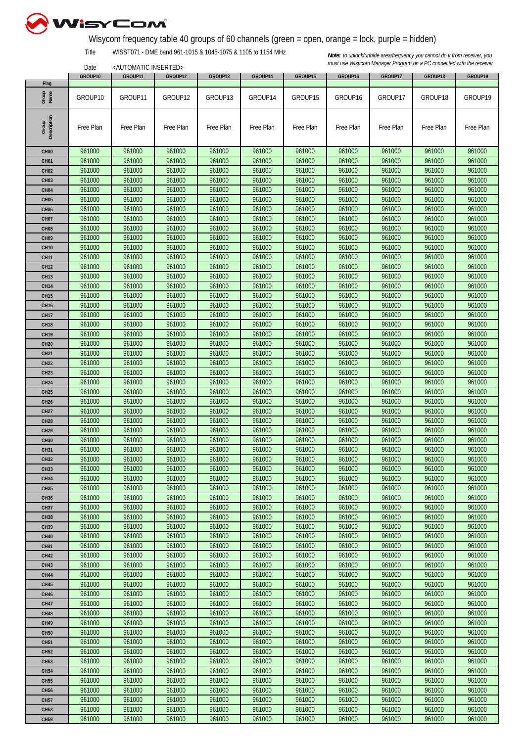

## Wisycom frequency table 40 groups of 60 channels (green = open, orange = lock, purple = hidden)

Title WISST071 - DME band 961-1015 & 1045-1075 & 1105 to 1154 MHz

<AUTOMATIC INSERTED>

|                       | GROUP10   | GROUP11   | GROUP12   | GROUP13   | GROUP14   | GROUP15   | GROUP16   | GROUP17   | GROUP18   | GROUP19   |
|-----------------------|-----------|-----------|-----------|-----------|-----------|-----------|-----------|-----------|-----------|-----------|
| Flag<br>Group<br>Name | GROUP10   | GROUP11   | GROUP12   | GROUP13   | GROUP14   | GROUP15   | GROUP16   | GROUP17   | GROUP18   | GROUP19   |
|                       |           |           |           |           |           |           |           |           |           |           |
| Description<br>Group  | Free Plan | Free Plan | Free Plan | Free Plan | Free Plan | Free Plan | Free Plan | Free Plan | Free Plan | Free Plan |
| CH <sub>00</sub>      | 961000    | 961000    | 961000    | 961000    | 961000    | 961000    | 961000    | 961000    | 961000    | 961000    |
| CH <sub>01</sub>      | 961000    | 961000    | 961000    | 961000    | 961000    | 961000    | 961000    | 961000    | 961000    | 961000    |
| <b>CH02</b>           | 961000    | 961000    | 961000    | 961000    | 961000    | 961000    | 961000    | 961000    | 961000    | 961000    |
| CH <sub>03</sub>      | 961000    | 961000    | 961000    | 961000    | 961000    | 961000    | 961000    | 961000    | 961000    | 961000    |
| CH <sub>04</sub>      | 961000    | 961000    | 961000    | 961000    | 961000    | 961000    | 961000    | 961000    | 961000    | 961000    |
| <b>CH05</b>           | 961000    | 961000    | 961000    | 961000    | 961000    | 961000    | 961000    | 961000    | 961000    | 961000    |
| <b>CH06</b>           | 961000    | 961000    | 961000    | 961000    | 961000    | 961000    | 961000    | 961000    | 961000    | 961000    |
| <b>CH07</b>           | 961000    | 961000    | 961000    | 961000    | 961000    | 961000    | 961000    | 961000    | 961000    | 961000    |
| CH <sub>08</sub>      | 961000    | 961000    | 961000    | 961000    | 961000    | 961000    | 961000    | 961000    | 961000    | 961000    |
| <b>CH09</b>           | 961000    | 961000    | 961000    | 961000    | 961000    | 961000    | 961000    | 961000    | 961000    | 961000    |
| <b>CH10</b>           | 961000    | 961000    | 961000    | 961000    | 961000    | 961000    | 961000    | 961000    | 961000    | 961000    |
| <b>CH11</b>           | 961000    | 961000    | 961000    | 961000    | 961000    | 961000    | 961000    | 961000    | 961000    | 961000    |
| <b>CH12</b>           | 961000    | 961000    | 961000    | 961000    | 961000    | 961000    | 961000    | 961000    | 961000    | 961000    |
| <b>CH13</b>           | 961000    | 961000    | 961000    | 961000    | 961000    | 961000    | 961000    | 961000    | 961000    | 961000    |
| <b>CH14</b>           | 961000    | 961000    | 961000    | 961000    | 961000    | 961000    | 961000    | 961000    | 961000    | 961000    |
| <b>CH15</b>           | 961000    | 961000    | 961000    | 961000    | 961000    | 961000    | 961000    | 961000    | 961000    | 961000    |
| <b>CH16</b>           | 961000    | 961000    | 961000    | 961000    | 961000    | 961000    | 961000    | 961000    | 961000    | 961000    |
| <b>CH17</b>           | 961000    | 961000    | 961000    | 961000    | 961000    | 961000    | 961000    | 961000    | 961000    | 961000    |
| <b>CH18</b>           | 961000    | 961000    | 961000    | 961000    | 961000    | 961000    | 961000    | 961000    | 961000    | 961000    |
| <b>CH19</b>           | 961000    | 961000    | 961000    | 961000    | 961000    | 961000    | 961000    | 961000    | 961000    | 961000    |
| <b>CH20</b>           | 961000    | 961000    | 961000    | 961000    | 961000    | 961000    | 961000    | 961000    | 961000    | 961000    |
| <b>CH21</b>           | 961000    | 961000    | 961000    | 961000    | 961000    | 961000    | 961000    | 961000    | 961000    | 961000    |
| <b>CH22</b>           | 961000    | 961000    | 961000    | 961000    | 961000    | 961000    | 961000    | 961000    | 961000    | 961000    |
| <b>CH23</b>           | 961000    | 961000    | 961000    | 961000    | 961000    | 961000    | 961000    | 961000    | 961000    | 961000    |
| <b>CH24</b>           | 961000    | 961000    | 961000    | 961000    | 961000    | 961000    | 961000    | 961000    | 961000    | 961000    |
| <b>CH25</b>           | 961000    | 961000    | 961000    | 961000    | 961000    | 961000    | 961000    | 961000    | 961000    | 961000    |
| <b>CH26</b>           | 961000    | 961000    | 961000    | 961000    | 961000    | 961000    | 961000    | 961000    | 961000    | 961000    |
| <b>CH27</b>           | 961000    | 961000    | 961000    | 961000    | 961000    | 961000    | 961000    | 961000    | 961000    | 961000    |
| <b>CH28</b>           | 961000    | 961000    | 961000    | 961000    | 961000    | 961000    | 961000    | 961000    | 961000    | 961000    |
| <b>CH29</b>           | 961000    | 961000    | 961000    | 961000    | 961000    | 961000    | 961000    | 961000    | 961000    | 961000    |
| <b>CH30</b>           | 961000    | 961000    | 961000    | 961000    | 961000    | 961000    | 961000    | 961000    | 961000    | 961000    |
| <b>CH31</b>           | 961000    | 961000    | 961000    | 961000    | 961000    | 961000    | 961000    | 961000    | 961000    | 961000    |
| <b>CH32</b>           | 961000    | 961000    | 961000    | 961000    | 961000    | 961000    | 961000    | 961000    | 961000    | 961000    |
| <b>CH33</b>           | 961000    | 961000    | 961000    | 961000    | 961000    | 961000    | 961000    | 961000    | 961000    | 961000    |
| <b>CH34</b>           | 961000    | 961000    | 961000    | 961000    | 961000    | 961000    | 961000    | 961000    | 961000    | 961000    |
| <b>CH35</b>           | 961000    | 961000    | 961000    | 961000    | 961000    | 961000    | 961000    | 961000    | 961000    | 961000    |
| <b>CH36</b>           | 961000    | 961000    | 961000    | 961000    | 961000    | 961000    | 961000    | 961000    | 961000    | 961000    |
| <b>CH37</b>           | 961000    | 961000    | 961000    | 961000    | 961000    | 961000    | 961000    | 961000    | 961000    | 961000    |
| <b>CH38</b>           | 961000    | 961000    | 961000    | 961000    | 961000    | 961000    | 961000    | 961000    | 961000    | 961000    |
| <b>CH39</b>           | 961000    | 961000    | 961000    | 961000    | 961000    | 961000    | 961000    | 961000    | 961000    | 961000    |
| <b>CH40</b>           | 961000    | 961000    | 961000    | 961000    | 961000    | 961000    | 961000    | 961000    | 961000    | 961000    |
| CH41                  | 961000    | 961000    | 961000    | 961000    | 961000    | 961000    | 961000    | 961000    | 961000    | 961000    |
| <b>CH42</b>           | 961000    | 961000    | 961000    | 961000    | 961000    | 961000    | 961000    | 961000    | 961000    | 961000    |
| <b>CH43</b>           | 961000    | 961000    | 961000    | 961000    | 961000    | 961000    | 961000    | 961000    | 961000    | 961000    |
| <b>CH44</b>           | 961000    | 961000    | 961000    | 961000    | 961000    | 961000    | 961000    | 961000    | 961000    | 961000    |
| <b>CH45</b>           | 961000    | 961000    | 961000    | 961000    | 961000    | 961000    | 961000    | 961000    | 961000    | 961000    |
| <b>CH46</b>           | 961000    | 961000    | 961000    | 961000    | 961000    | 961000    | 961000    | 961000    | 961000    | 961000    |
| <b>CH47</b>           | 961000    | 961000    | 961000    | 961000    | 961000    | 961000    | 961000    | 961000    | 961000    | 961000    |
| <b>CH48</b>           | 961000    | 961000    | 961000    | 961000    | 961000    | 961000    | 961000    | 961000    | 961000    | 961000    |
| <b>CH49</b>           | 961000    | 961000    | 961000    | 961000    | 961000    | 961000    | 961000    | 961000    | 961000    | 961000    |
| <b>CH50</b>           | 961000    | 961000    | 961000    | 961000    | 961000    | 961000    | 961000    | 961000    | 961000    | 961000    |
| <b>CH51</b>           | 961000    | 961000    | 961000    | 961000    | 961000    | 961000    | 961000    | 961000    | 961000    | 961000    |
| <b>CH52</b>           | 961000    | 961000    | 961000    | 961000    | 961000    | 961000    | 961000    | 961000    | 961000    | 961000    |
| <b>CH53</b>           | 961000    | 961000    | 961000    | 961000    | 961000    | 961000    | 961000    | 961000    | 961000    | 961000    |
| <b>CH54</b>           | 961000    | 961000    | 961000    | 961000    | 961000    | 961000    | 961000    | 961000    | 961000    | 961000    |
| <b>CH55</b>           | 961000    | 961000    | 961000    | 961000    | 961000    | 961000    | 961000    | 961000    | 961000    | 961000    |
| <b>CH56</b>           | 961000    | 961000    | 961000    | 961000    | 961000    | 961000    | 961000    | 961000    | 961000    | 961000    |
| <b>CH57</b>           | 961000    | 961000    | 961000    | 961000    | 961000    | 961000    | 961000    | 961000    | 961000    | 961000    |
| <b>CH58</b>           | 961000    | 961000    | 961000    | 961000    | 961000    | 961000    | 961000    | 961000    | 961000    | 961000    |
| CH59                  | 961000    | 961000    | 961000    | 961000    | 961000    | 961000    | 961000    | 961000    | 961000    | 961000    |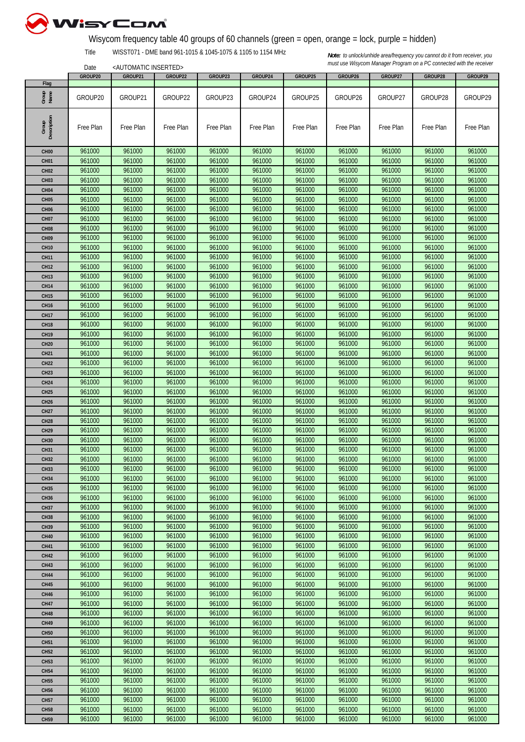

## Wisycom frequency table 40 groups of 60 channels (green = open, orange = lock, purple = hidden)

Title WISST071 - DME band 961-1015 & 1045-1075 & 1105 to 1154 MHz

<AUTOMATIC INSERTED>

|                  | GROUP20   | GROUP21   | GROUP22   | GROUP23   | GROUP24   | GROUP25   | GROUP26   | GROUP27   | GROUP28   | GROUP29   |
|------------------|-----------|-----------|-----------|-----------|-----------|-----------|-----------|-----------|-----------|-----------|
| Flag             |           |           |           |           |           |           |           |           |           |           |
| Group<br>Name    | GROUP20   | GROUP21   | GROUP22   | GROUP23   | GROUP24   | GROUP25   | GROUP26   | GROUP27   | GROUP28   | GROUP29   |
|                  |           |           |           |           |           |           |           |           |           |           |
|                  |           |           |           |           |           |           |           |           |           |           |
|                  |           |           |           |           |           |           |           |           |           |           |
| Group            | Free Plan | Free Plan | Free Plan | Free Plan | Free Plan | Free Plan | Free Plan | Free Plan | Free Plan | Free Plan |
| Description      |           |           |           |           |           |           |           |           |           |           |
|                  |           |           |           |           |           |           |           |           |           |           |
| CH <sub>00</sub> | 961000    | 961000    | 961000    | 961000    | 961000    | 961000    | 961000    | 961000    | 961000    | 961000    |
| CH <sub>01</sub> | 961000    | 961000    | 961000    | 961000    | 961000    | 961000    | 961000    | 961000    | 961000    | 961000    |
| <b>CH02</b>      | 961000    | 961000    | 961000    | 961000    | 961000    | 961000    | 961000    | 961000    | 961000    | 961000    |
| CH <sub>03</sub> | 961000    | 961000    | 961000    | 961000    | 961000    | 961000    | 961000    | 961000    | 961000    | 961000    |
| CH <sub>04</sub> | 961000    | 961000    | 961000    | 961000    | 961000    | 961000    | 961000    | 961000    | 961000    | 961000    |
|                  |           |           |           | 961000    |           |           |           |           |           |           |
| <b>CH05</b>      | 961000    | 961000    | 961000    |           | 961000    | 961000    | 961000    | 961000    | 961000    | 961000    |
| <b>CH06</b>      | 961000    | 961000    | 961000    | 961000    | 961000    | 961000    | 961000    | 961000    | 961000    | 961000    |
| <b>CH07</b>      | 961000    | 961000    | 961000    | 961000    | 961000    | 961000    | 961000    | 961000    | 961000    | 961000    |
| CH <sub>08</sub> | 961000    | 961000    | 961000    | 961000    | 961000    | 961000    | 961000    | 961000    | 961000    | 961000    |
| <b>CH09</b>      | 961000    | 961000    | 961000    | 961000    | 961000    | 961000    | 961000    | 961000    | 961000    | 961000    |
| <b>CH10</b>      | 961000    | 961000    | 961000    | 961000    | 961000    | 961000    | 961000    | 961000    | 961000    | 961000    |
| <b>CH11</b>      | 961000    | 961000    | 961000    | 961000    | 961000    | 961000    | 961000    | 961000    | 961000    | 961000    |
|                  |           |           |           |           | 961000    |           |           |           |           |           |
| <b>CH12</b>      | 961000    | 961000    | 961000    | 961000    |           | 961000    | 961000    | 961000    | 961000    | 961000    |
| <b>CH13</b>      | 961000    | 961000    | 961000    | 961000    | 961000    | 961000    | 961000    | 961000    | 961000    | 961000    |
| <b>CH14</b>      | 961000    | 961000    | 961000    | 961000    | 961000    | 961000    | 961000    | 961000    | 961000    | 961000    |
| <b>CH15</b>      | 961000    | 961000    | 961000    | 961000    | 961000    | 961000    | 961000    | 961000    | 961000    | 961000    |
| <b>CH16</b>      | 961000    | 961000    | 961000    | 961000    | 961000    | 961000    | 961000    | 961000    | 961000    | 961000    |
| <b>CH17</b>      | 961000    | 961000    | 961000    | 961000    | 961000    | 961000    | 961000    | 961000    | 961000    | 961000    |
| <b>CH18</b>      | 961000    | 961000    | 961000    | 961000    | 961000    | 961000    | 961000    | 961000    | 961000    | 961000    |
| <b>CH19</b>      | 961000    | 961000    | 961000    | 961000    | 961000    | 961000    | 961000    | 961000    | 961000    | 961000    |
|                  | 961000    | 961000    | 961000    | 961000    | 961000    | 961000    | 961000    | 961000    | 961000    | 961000    |
| <b>CH20</b>      |           |           |           |           |           |           |           |           |           |           |
| <b>CH21</b>      | 961000    | 961000    | 961000    | 961000    | 961000    | 961000    | 961000    | 961000    | 961000    | 961000    |
| <b>CH22</b>      | 961000    | 961000    | 961000    | 961000    | 961000    | 961000    | 961000    | 961000    | 961000    | 961000    |
| <b>CH23</b>      | 961000    | 961000    | 961000    | 961000    | 961000    | 961000    | 961000    | 961000    | 961000    | 961000    |
| <b>CH24</b>      | 961000    | 961000    | 961000    | 961000    | 961000    | 961000    | 961000    | 961000    | 961000    | 961000    |
| <b>CH25</b>      | 961000    | 961000    | 961000    | 961000    | 961000    | 961000    | 961000    | 961000    | 961000    | 961000    |
| <b>CH26</b>      | 961000    | 961000    | 961000    | 961000    | 961000    | 961000    | 961000    | 961000    | 961000    | 961000    |
| <b>CH27</b>      | 961000    | 961000    | 961000    | 961000    | 961000    | 961000    | 961000    | 961000    | 961000    | 961000    |
| <b>CH28</b>      | 961000    | 961000    | 961000    | 961000    | 961000    | 961000    | 961000    | 961000    | 961000    | 961000    |
|                  |           |           |           |           |           |           |           |           |           |           |
| <b>CH29</b>      | 961000    | 961000    | 961000    | 961000    | 961000    | 961000    | 961000    | 961000    | 961000    | 961000    |
| <b>CH30</b>      | 961000    | 961000    | 961000    | 961000    | 961000    | 961000    | 961000    | 961000    | 961000    | 961000    |
| <b>CH31</b>      | 961000    | 961000    | 961000    | 961000    | 961000    | 961000    | 961000    | 961000    | 961000    | 961000    |
| <b>CH32</b>      | 961000    | 961000    | 961000    | 961000    | 961000    | 961000    | 961000    | 961000    | 961000    | 961000    |
| <b>CH33</b>      | 961000    | 961000    | 961000    | 961000    | 961000    | 961000    | 961000    | 961000    | 961000    | 961000    |
| <b>CH34</b>      | 961000    | 961000    | 961000    | 961000    | 961000    | 961000    | 961000    | 961000    | 961000    | 961000    |
| <b>CH35</b>      | 961000    | 961000    | 961000    | 961000    | 961000    | 961000    | 961000    | 961000    | 961000    | 961000    |
| <b>CH36</b>      | 961000    | 961000    | 961000    | 961000    | 961000    | 961000    | 961000    | 961000    | 961000    | 961000    |
| <b>CH37</b>      | 961000    | 961000    | 961000    | 961000    | 961000    | 961000    | 961000    | 961000    | 961000    | 961000    |
|                  |           |           |           |           |           |           | 961000    |           |           |           |
| <b>CH38</b>      | 961000    | 961000    | 961000    | 961000    | 961000    | 961000    |           | 961000    | 961000    | 961000    |
| <b>CH39</b>      | 961000    | 961000    | 961000    | 961000    | 961000    | 961000    | 961000    | 961000    | 961000    | 961000    |
| <b>CH40</b>      | 961000    | 961000    | 961000    | 961000    | 961000    | 961000    | 961000    | 961000    | 961000    | 961000    |
| CH41             | 961000    | 961000    | 961000    | 961000    | 961000    | 961000    | 961000    | 961000    | 961000    | 961000    |
| <b>CH42</b>      | 961000    | 961000    | 961000    | 961000    | 961000    | 961000    | 961000    | 961000    | 961000    | 961000    |
| <b>CH43</b>      | 961000    | 961000    | 961000    | 961000    | 961000    | 961000    | 961000    | 961000    | 961000    | 961000    |
| <b>CH44</b>      | 961000    | 961000    | 961000    | 961000    | 961000    | 961000    | 961000    | 961000    | 961000    | 961000    |
| <b>CH45</b>      | 961000    | 961000    | 961000    | 961000    | 961000    | 961000    | 961000    | 961000    | 961000    | 961000    |
| <b>CH46</b>      | 961000    | 961000    | 961000    | 961000    | 961000    | 961000    | 961000    | 961000    | 961000    | 961000    |
|                  | 961000    |           | 961000    |           | 961000    |           |           | 961000    |           | 961000    |
| <b>CH47</b>      |           | 961000    |           | 961000    |           | 961000    | 961000    |           | 961000    |           |
| <b>CH48</b>      | 961000    | 961000    | 961000    | 961000    | 961000    | 961000    | 961000    | 961000    | 961000    | 961000    |
| <b>CH49</b>      | 961000    | 961000    | 961000    | 961000    | 961000    | 961000    | 961000    | 961000    | 961000    | 961000    |
| <b>CH50</b>      | 961000    | 961000    | 961000    | 961000    | 961000    | 961000    | 961000    | 961000    | 961000    | 961000    |
| <b>CH51</b>      | 961000    | 961000    | 961000    | 961000    | 961000    | 961000    | 961000    | 961000    | 961000    | 961000    |
| <b>CH52</b>      | 961000    | 961000    | 961000    | 961000    | 961000    | 961000    | 961000    | 961000    | 961000    | 961000    |
| <b>CH53</b>      | 961000    | 961000    | 961000    | 961000    | 961000    | 961000    | 961000    | 961000    | 961000    | 961000    |
| <b>CH54</b>      | 961000    | 961000    | 961000    | 961000    | 961000    | 961000    | 961000    | 961000    | 961000    | 961000    |
|                  | 961000    | 961000    | 961000    | 961000    | 961000    | 961000    | 961000    | 961000    | 961000    | 961000    |
| <b>CH55</b>      |           |           |           |           |           |           |           |           |           |           |
| <b>CH56</b>      | 961000    | 961000    | 961000    | 961000    | 961000    | 961000    | 961000    | 961000    | 961000    | 961000    |
| <b>CH57</b>      | 961000    | 961000    | 961000    | 961000    | 961000    | 961000    | 961000    | 961000    | 961000    | 961000    |
| <b>CH58</b>      | 961000    | 961000    | 961000    | 961000    | 961000    | 961000    | 961000    | 961000    | 961000    | 961000    |
| CH <sub>59</sub> | 961000    | 961000    | 961000    | 961000    | 961000    | 961000    | 961000    | 961000    | 961000    | 961000    |